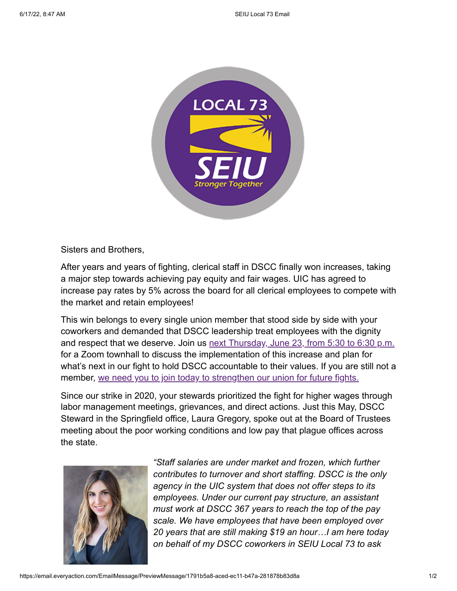

Sisters and Brothers,

After years and years of fighting, clerical staff in DSCC finally won increases, taking a major step towards achieving pay equity and fair wages. UIC has agreed to increase pay rates by 5% across the board for all clerical employees to compete with the market and retain employees!

This win belongs to every single union member that stood side by side with your coworkers and demanded that DSCC leadership treat employees with the dignity and respect that we deserve. Join us [next Thursday, June 23, from 5:30 to 6:30 p.m.](https://us02web.zoom.us/meeting/register/tZUlfuiuqDIuE9NIIbsVWI8szhLeu7oZr0rD?emci=1891b5a8-aced-ec11-b47a-281878b83d8a&emdi=ea000000-0000-0000-0000-000000000001&ceid={{ContactsEmailID}}) for a Zoom townhall to discuss the implementation of this increase and plan for what's next in our fight to hold DSCC accountable to their values. If you are still not a member, [we need you to join today to strengthen our union for future fights.](https://act.seiu.org/onlineactions/aKodMsvkVUWEGjxiDRNyfA2?emci=1891b5a8-aced-ec11-b47a-281878b83d8a&emdi=ea000000-0000-0000-0000-000000000001&ceid={{ContactsEmailID}})

Since our strike in 2020, your stewards prioritized the fight for higher wages through labor management meetings, grievances, and direct actions. Just this May, DSCC Steward in the Springfield office, Laura Gregory, spoke out at the Board of Trustees meeting about the poor working conditions and low pay that plague offices across the state.



*"Staff salaries are under market and frozen, which further contributes to turnover and short staffing. DSCC is the only agency in the UIC system that does not offer steps to its employees. Under our current pay structure, an assistant must work at DSCC 367 years to reach the top of the pay scale. We have employees that have been employed over 20 years that are still making \$19 an hour…I am here today on behalf of my DSCC coworkers in SEIU Local 73 to ask*